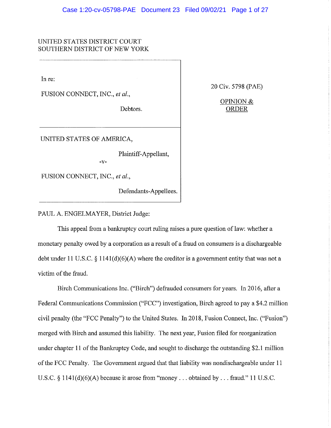# UNITED STATES DISTRICT COURT SOUTHERN DISTRICT OF NEW YORK

In re:

FUSION CONNECT, INC., et al.,

Debtors.

20 Civ. 5798 (PAE)

OPINION & **ORDER** 

UNITED STATES OF AMERICA,

Plaintiff-Appellant,

 $-V -$ 

FUSION CONNECT, INC., et al.,

Defendants-Appellees.

PAUL A. ENGELMAYER, District Judge:

This appeal from a bankruptcy court ruling raises a pure question of law: whether a monetary penalty owed by a corporation as a result of a fraud on consumers is a dischargeable debt under 11 U.S.C.  $\S$  1141(d)(6)(A) where the creditor is a government entity that was not a victim of the fraud.

Birch Communications Inc. ("Birch") defrauded consumers for years. In 2016, after a Federal Communications Commission ("FCC") investigation, Birch agreed to pay a \$4.2 million civil penalty (the "FCC Penalty") to the United States. In 2018, Fusion Connect, Inc. ("Fusion") merged with Birch and assumed this liability. The next year, Fusion filed for reorganization under chapter 11 of the Bankruptcy Code, and sought to discharge the outstanding \$2.1 million of the FCC Penalty. The Government argued that that liability was nondischargeable under 11 U.S.C. § 1141(d)(6)(A) because it arose from "money ... obtained by ... fraud." 11 U.S.C.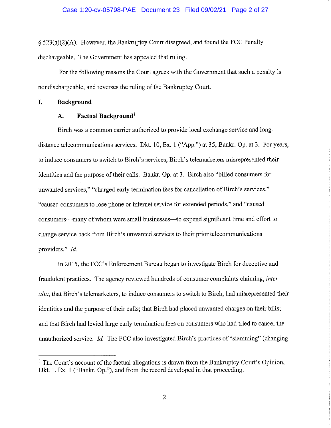$\S$  523(a)(2)(A). However, the Bankruptcy Court disagreed, and found the FCC Penalty dischargeable. The Government has appealed that ruling.

For the following reasons the Court agrees with the Government that such a penalty is nondischargeable, and reverses the ruling of the Bankruptcy Court.

I. **Background** 

#### $\mathbf{A}$ . **Factual Background**

Birch was a common carrier authorized to provide local exchange service and longdistance telecommunications services. Dkt. 10, Ex. 1 ("App.") at 35; Bankr. Op. at 3. For years, to induce consumers to switch to Birch's services, Birch's telemarketers misrepresented their identities and the purpose of their calls. Bankr. Op. at 3. Birch also "billed consumers for unwanted services," "charged early termination fees for cancellation of Birch's services," "caused consumers to lose phone or internet service for extended periods," and "caused consumers—many of whom were small businesses—to expend significant time and effort to change service back from Birch's unwanted services to their prior telecommunications providers." Id.

In 2015, the FCC's Enforcement Bureau began to investigate Birch for deceptive and fraudulent practices. The agency reviewed hundreds of consumer complaints claiming, inter alia, that Birch's telemarketers, to induce consumers to switch to Birch, had misrepresented their identities and the purpose of their calls; that Birch had placed unwanted charges on their bills; and that Birch had levied large early termination fees on consumers who had tried to cancel the unauthorized service. Id. The FCC also investigated Birch's practices of "slamming" (changing

<sup>&</sup>lt;sup>1</sup> The Court's account of the factual allegations is drawn from the Bankruptcy Court's Opinion, Dkt. 1, Ex. 1 ("Bankr. Op."), and from the record developed in that proceeding.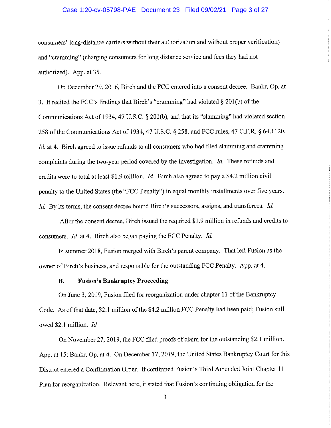## Case 1:20-cv-05798-PAE Document 23 Filed 09/02/21 Page 3 of 27

consumers' long-distance carriers without their authorization and without proper verification) and "cramming" (charging consumers for long distance service and fees they had not authorized). App. at 35.

On December 29, 2016, Birch and the FCC entered into a consent decree. Bankr. Op. at 3. It recited the FCC's findings that Birch's "cramming" had violated  $\S 201(b)$  of the Communications Act of 1934, 47 U.S.C. § 201(b), and that its "slamming" had violated section 258 of the Communications Act of 1934, 47 U.S.C. § 258, and FCC rules, 47 C.F.R. § 64.1120. *Id.* at 4. Birch agreed to issue refunds to all consumers who had filed slamming and cramming complaints during the two-year period covered by the investigation. Id. These refunds and credits were to total at least \$1.9 million. *Id*. Birch also agreed to pay a \$4.2 million civil penalty to the United States (the "FCC Penalty") in equal monthly installments over five years. Id. By its terms, the consent decree bound Birch's successors, assigns, and transferees. Id.

After the consent decree, Birch issued the required \$1.9 million in refunds and credits to consumers. *Id.* at 4. Birch also began paying the FCC Penalty. *Id.* 

In summer 2018, Fusion merged with Birch's parent company. That left Fusion as the owner of Birch's business, and responsible for the outstanding FCC Penalty. App. at 4.

#### **B. Fusion's Bankruptcy Proceeding**

On June 3, 2019, Fusion filed for reorganization under chapter 11 of the Bankruptcy Code. As of that date, \$2.1 million of the \$4.2 million FCC Penalty had been paid; Fusion still owed \$2.1 million. Id.

On November 27, 2019, the FCC filed proofs of claim for the outstanding \$2.1 million. App. at 15; Bankr. Op. at 4. On December 17, 2019, the United States Bankruptcy Court for this District entered a Confirmation Order. It confirmed Fusion's Third Amended Joint Chapter 11 Plan for reorganization. Relevant here, it stated that Fusion's continuing obligation for the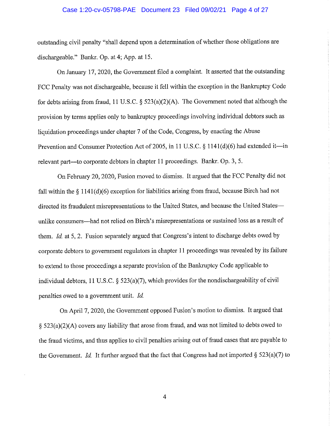### Case 1:20-cv-05798-PAE Document 23 Filed 09/02/21 Page 4 of 27

outstanding civil penalty "shall depend upon a determination of whether those obligations are dischargeable." Bankr. Op. at 4; App. at 15.

On January 17, 2020, the Government filed a complaint. It asserted that the outstanding FCC Penalty was not dischargeable, because it fell within the exception in the Bankruptcy Code for debts arising from fraud, 11 U.S.C.  $\S$  523(a)(2)(A). The Government noted that although the provision by terms applies only to bankruptcy proceedings involving individual debtors such as liquidation proceedings under chapter 7 of the Code, Congress, by enacting the Abuse Prevention and Consumer Protection Act of 2005, in 11 U.S.C. § 1141(d)(6) had extended it—in relevant part—to corporate debtors in chapter 11 proceedings. Bankr. Op. 3, 5.

On February 20, 2020, Fusion moved to dismiss. It argued that the FCC Penalty did not fall within the  $\S$  1141(d)(6) exception for liabilities arising from fraud, because Birch had not directed its fraudulent misrepresentations to the United States, and because the United States unlike consumers—had not relied on Birch's misrepresentations or sustained loss as a result of them. Id. at 5, 2. Fusion separately argued that Congress's intent to discharge debts owed by corporate debtors to government regulators in chapter 11 proceedings was revealed by its failure to extend to those proceedings a separate provision of the Bankruptcy Code applicable to individual debtors, 11 U.S.C.  $\S$  523(a)(7), which provides for the nondischargeability of civil penalties owed to a government unit. Id.

On April 7, 2020, the Government opposed Fusion's motion to dismiss. It argued that § 523(a)(2)(A) covers any liability that arose from fraud, and was not limited to debts owed to the fraud victims, and thus applies to civil penalties arising out of fraud cases that are payable to the Government. *Id.* It further argued that the fact that Congress had not imported  $\S$  523(a)(7) to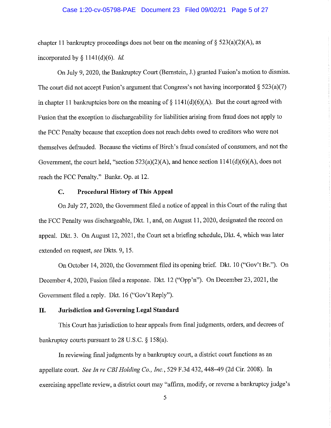## Case 1:20-cv-05798-PAE Document 23 Filed 09/02/21 Page 5 of 27

chapter 11 bankruptcy proceedings does not bear on the meaning of  $\S$  523(a)(2)(A), as incorporated by  $\S 1141(d)(6)$ . *Id.* 

On July 9, 2020, the Bankruptcy Court (Bernstein, J.) granted Fusion's motion to dismiss. The court did not accept Fusion's argument that Congress's not having incorporated  $\S$  523(a)(7) in chapter 11 bankruptcies bore on the meaning of  $\S 1141(d)(6)(A)$ . But the court agreed with Fusion that the exception to dischargeability for liabilities arising from fraud does not apply to the FCC Penalty because that exception does not reach debts owed to creditors who were not themselves defrauded. Because the victims of Birch's fraud consisted of consumers, and not the Government, the court held, "section  $523(a)(2)(A)$ , and hence section  $1141(d)(6)(A)$ , does not reach the FCC Penalty." Bankr. Op. at 12.

#### **Procedural History of This Appeal**  $C_{\bullet}$

On July 27, 2020, the Government filed a notice of appeal in this Court of the ruling that the FCC Penalty was dischargeable, Dkt. 1, and, on August 11, 2020, designated the record on appeal. Dkt. 3. On August 12, 2021, the Court set a briefing schedule, Dkt. 4, which was later extended on request, see Dkts. 9, 15.

On October 14, 2020, the Government filed its opening brief. Dkt. 10 ("Gov't Br."). On December 4, 2020, Fusion filed a response. Dkt. 12 ("Opp'n"). On December 23, 2021, the Government filed a reply. Dkt. 16 ("Gov't Reply").

#### II. **Jurisdiction and Governing Legal Standard**

This Court has jurisdiction to hear appeals from final judgments, orders, and decrees of bankruptcy courts pursuant to 28 U.S.C.  $\S$  158(a).

In reviewing final judgments by a bankruptcy court, a district court functions as an appellate court. See In re CBI Holding Co., Inc., 529 F.3d 432, 448-49 (2d Cir. 2008). In exercising appellate review, a district court may "affirm, modify, or reverse a bankruptcy judge's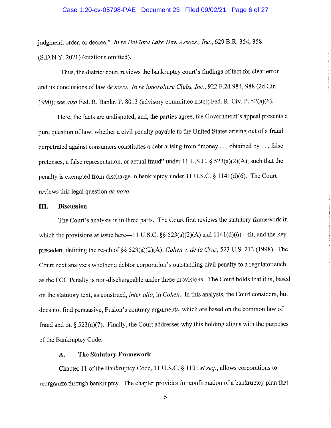## Case 1:20-cv-05798-PAE Document 23 Filed 09/02/21 Page 6 of 27

judgment, order, or decree." In re DeFlora Lake Dev. Assocs., Inc., 629 B.R. 354, 358 (S.D.N.Y. 2021) (citations omitted).

Thus, the district court reviews the bankruptcy court's findings of fact for clear error and its conclusions of law de novo. In re Ionosphere Clubs, Inc., 922 F.2d 984, 988 (2d Cir. 1990); see also Fed. R. Bankr. P. 8013 (advisory committee note); Fed. R. Civ. P. 52(a)(6).

Here, the facts are undisputed, and, the parties agree, the Government's appeal presents a pure question of law: whether a civil penalty payable to the United States arising out of a fraud perpetrated against consumers constitutes a debt arising from "money... obtained by... false pretenses, a false representation, or actual fraud" under 11 U.S.C. §  $523(a)(2)(A)$ , such that the penalty is exempted from discharge in bankruptcy under 11 U.S.C. § 1141(d)(6). The Court reviews this legal question de novo.

#### III. **Discussion**

The Court's analysis is in three parts. The Court first reviews the statutory framework in which the provisions at issue here -11 U.S.C.  $\S$   $\S$  523(a)(2)(A) and 1141(d)(6)-fit, and the key precedent defining the reach of §§ 523(a)(2)(A): Cohen v. de la Cruz, 523 U.S. 213 (1998). The Court next analyzes whether a debtor corporation's outstanding civil penalty to a regulator such as the FCC Penalty is non-dischargeable under these provisions. The Court holds that it is, based on the statutory text, as construed, *inter alia*, in *Cohen*. In this analysis, the Court considers, but does not find persuasive, Fusion's contrary arguments, which are based on the common law of fraud and on  $\S$  523(a)(7). Finally, the Court addresses why this holding aligns with the purposes of the Bankruptcy Code.

#### **The Statutory Framework**  $\mathbf{A}$ .

Chapter 11 of the Bankruptcy Code, 11 U.S.C. § 1101 et seq., allows corporations to reorganize through bankruptcy. The chapter provides for confirmation of a bankruptcy plan that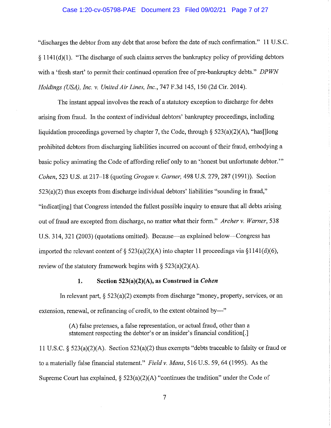## Case 1:20-cv-05798-PAE Document 23 Filed 09/02/21 Page 7 of 27

"discharges the debtor from any debt that arose before the date of such confirmation." 11 U.S.C.  $\S$  1141(d)(1). "The discharge of such claims serves the bankruptcy policy of providing debtors with a 'fresh start' to permit their continued operation free of pre-bankruptcy debts." DPWN Holdings (USA), Inc. v. United Air Lines, Inc., 747 F.3d 145, 150 (2d Cir. 2014).

The instant appeal involves the reach of a statutory exception to discharge for debts arising from fraud. In the context of individual debtors' bankruptcy proceedings, including liquidation proceedings governed by chapter 7, the Code, through  $\S$  523(a)(2)(A), "has [long] prohibited debtors from discharging liabilities incurred on account of their fraud, embodying a basic policy animating the Code of affording relief only to an 'honest but unfortunate debtor." Cohen, 523 U.S. at 217–18 (quoting Grogan v. Garner, 498 U.S. 279, 287 (1991)). Section  $523(a)(2)$  thus excepts from discharge individual debtors' liabilities "sounding in fraud," "indicat[ing] that Congress intended the fullest possible inquiry to ensure that all debts arising out of fraud are excepted from discharge, no matter what their form." Archer v. Warner, 538 U.S. 314, 321 (2003) (quotations omitted). Because—as explained below—Congress has imported the relevant content of § 523(a)(2)(A) into chapter 11 proceedings via §1141(d)(6), review of the statutory framework begins with  $\S$  523(a)(2)(A).

#### $1.$ Section 523(a)(2)(A), as Construed in Cohen

In relevant part,  $\S 523(a)(2)$  exempts from discharge "money, property, services, or an extension, renewal, or refinancing of credit, to the extent obtained by—"

> (A) false pretenses, a false representation, or actual fraud, other than a statement respecting the debtor's or an insider's financial condition[.]

11 U.S.C. §  $523(a)(2)(A)$ . Section  $523(a)(2)$  thus exempts "debts traceable to falsity or fraud or to a materially false financial statement." Field v. Mans, 516 U.S. 59, 64 (1995). As the Supreme Court has explained,  $\S$  523(a)(2)(A) "continues the tradition" under the Code of

 $\overline{7}$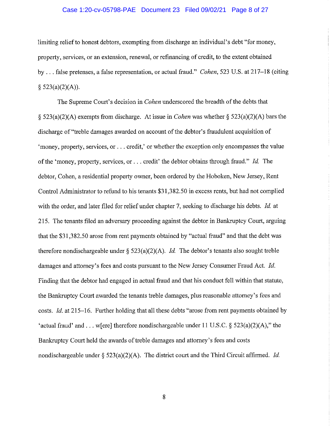## Case 1:20-cv-05798-PAE Document 23 Filed 09/02/21 Page 8 of 27

limiting relief to honest debtors, exempting from discharge an individual's debt "for money, property, services, or an extension, renewal, or refinancing of credit, to the extent obtained by ... false pretenses, a false representation, or actual fraud." Cohen, 523 U.S. at 217-18 (citing  $$523(a)(2)(A)).$ 

The Supreme Court's decision in *Cohen* underscored the breadth of the debts that  $\S$  523(a)(2)(A) exempts from discharge. At issue in *Cohen* was whether  $\S$  523(a)(2)(A) bars the discharge of "treble damages awarded on account of the debtor's fraudulent acquisition of 'money, property, services, or . . . credit,' or whether the exception only encompasses the value of the 'money, property, services, or ... credit' the debtor obtains through fraud." Id. The debtor, Cohen, a residential property owner, been ordered by the Hoboken, New Jersey, Rent Control Administrator to refund to his tenants \$31,382.50 in excess rents, but had not complied with the order, and later filed for relief under chapter 7, seeking to discharge his debts. Id. at 215. The tenants filed an adversary proceeding against the debtor in Bankruptcy Court, arguing that the \$31,382.50 arose from rent payments obtained by "actual fraud" and that the debt was therefore nondischargeable under  $\S$  523(a)(2)(A). *Id.* The debtor's tenants also sought treble damages and attorney's fees and costs pursuant to the New Jersey Consumer Fraud Act. Id. Finding that the debtor had engaged in actual fraud and that his conduct fell within that statute, the Bankruptcy Court awarded the tenants treble damages, plus reasonable attorney's fees and costs. *Id.* at 215–16. Further holding that all these debts "arose from rent payments obtained by 'actual fraud' and . . . w[ere] therefore nondischargeable under 11 U.S.C. § 523(a)(2)(A)," the Bankruptcy Court held the awards of treble damages and attorney's fees and costs nondischargeable under  $\S$  523(a)(2)(A). The district court and the Third Circuit affirmed. *Id.*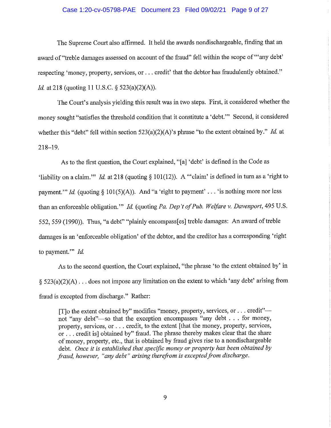## Case 1:20-cv-05798-PAE Document 23 Filed 09/02/21 Page 9 of 27

The Supreme Court also affirmed. It held the awards nondischargeable, finding that an award of "treble damages assessed on account of the fraud" fell within the scope of "'any debt' respecting 'money, property, services, or ... credit' that the debtor has fraudulently obtained." *Id.* at 218 (quoting 11 U.S.C. § 523(a)(2)(A)).

The Court's analysis yielding this result was in two steps. First, it considered whether the money sought "satisfies the threshold condition that it constitute a 'debt." Second, it considered whether this "debt" fell within section  $523(a)(2)(A)$ 's phrase "to the extent obtained by." Id. at  $218 - 19.$ 

As to the first question, the Court explained, "[a] 'debt' is defined in the Code as 'liability on a claim." Id. at 218 (quoting  $\S 101(12)$ ). A "'claim' is defined in turn as a 'right to payment." *Id.* (quoting § 101(5)(A)). And "a 'right to payment' . . . 'is nothing more nor less than an enforceable obligation." Id. (quoting Pa. Dep't of Pub. Welfare v. Davenport, 495 U.S. 552, 559 (1990)). Thus, "a debt" "plainly encompass[es] treble damages: An award of treble damages is an 'enforceable obligation' of the debtor, and the creditor has a corresponding 'right to payment."  $Id$ .

As to the second question, the Court explained, "the phrase 'to the extent obtained by' in § 523(a)(2)(A) ... does not impose any limitation on the extent to which 'any debt' arising from fraud is excepted from discharge." Rather:

[T]o the extent obtained by" modifies "money, property, services, or . . . credit"not "any debt"-so that the exception encompasses "any debt . . . for money, property, services, or . . . credit, to the extent [that the money, property, services, or ... credit is] obtained by" fraud. The phrase thereby makes clear that the share of money, property, etc., that is obtained by fraud gives rise to a nondischargeable debt. Once it is established that specific money or property has been obtained by fraud, however, "any debt" arising therefrom is excepted from discharge.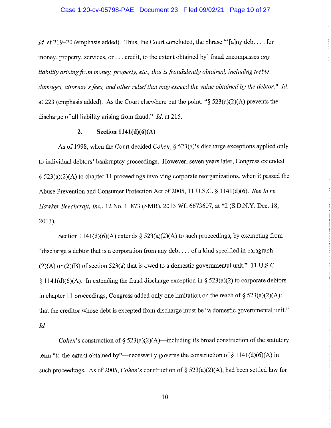# Case 1:20-cv-05798-PAE Document 23 Filed 09/02/21 Page 10 of 27

*Id.* at 219–20 (emphasis added). Thus, the Court concluded, the phrase "'[a]ny debt... for money, property, services, or . . . credit, to the extent obtained by' fraud encompasses any liability arising from money, property, etc., that is fraudulently obtained, including treble damages, attorney's fees, and other relief that may exceed the value obtained by the debtor." Id. at 223 (emphasis added). As the Court elsewhere put the point: " $\S$  523(a)(2)(A) prevents the discharge of all liability arising from fraud," *Id.* at 215.

#### $2.$ Section  $1141(d)(6)(A)$

As of 1998, when the Court decided *Cohen*, § 523(a)'s discharge exceptions applied only to individual debtors' bankruptcy proceedings. However, seven years later, Congress extended  $\S$  523(a)(2)(A) to chapter 11 proceedings involving corporate reorganizations, when it passed the Abuse Prevention and Consumer Protection Act of 2005, 11 U.S.C. § 1141(d)(6). See In re Hawker Beechcraft, Inc., 12 No. 11873 (SMB), 2013 WL 6673607, at \*2 (S.D.N.Y. Dec. 18,  $2013$ ).

Section 1141(d)(6)(A) extends  $\S$  523(a)(2)(A) to such proceedings, by exempting from "discharge a debtor that is a corporation from any debt... of a kind specified in paragraph  $(2)(A)$  or  $(2)(B)$  of section 523(a) that is owed to a domestic governmental unit." 11 U.S.C.  $\{1141(d)(6)(A)\}\$ . In extending the fraud discharge exception in  $\S$  523(a)(2) to corporate debtors in chapter 11 proceedings. Congress added only one limitation on the reach of  $\S$  523(a)(2)(A): that the creditor whose debt is excepted from discharge must be "a domestic governmental unit." Id.

*Cohen's* construction of  $\S$  523(a)(2)(A)—including its broad construction of the statutory term "to the extent obtained by"—necessarily governs the construction of  $\S 1141(d)(6)(A)$  in such proceedings. As of 2005, *Cohen*'s construction of § 523(a)(2)(A), had been settled law for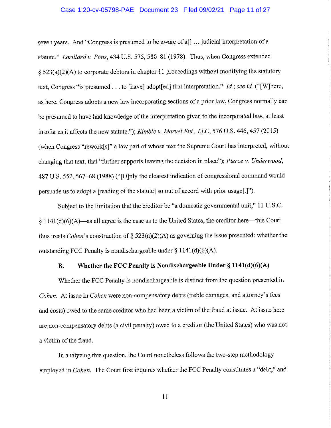## Case 1:20-cv-05798-PAE Document 23 Filed 09/02/21 Page 11 of 27

seven years. And "Congress is presumed to be aware of a[] ... judicial interpretation of a statute." Lorillard v. Pons, 434 U.S. 575, 580-81 (1978). Thus, when Congress extended § 523(a)(2)(A) to corporate debtors in chapter 11 proceedings without modifying the statutory text, Congress "is presumed . . . to [have] adopt[ed] that interpretation." Id.; see id. ("[W]here, as here. Congress adopts a new law incorporating sections of a prior law, Congress normally can be presumed to have had knowledge of the interpretation given to the incorporated law, at least insofar as it affects the new statute."); Kimble v. Marvel Ent., LLC, 576 U.S. 446, 457 (2015) (when Congress "rework[s]" a law part of whose text the Supreme Court has interpreted, without changing that text, that "further supports leaving the decision in place"); Pierce v. Underwood, 487 U.S. 552, 567–68 (1988) ("[O]nly the clearest indication of congressional command would persuade us to adopt a [reading of the statute] so out of accord with prior usage[.]").

Subject to the limitation that the creditor be "a domestic governmental unit," 11 U.S.C.  $\S 1141(d)(6)(A)$ —as all agree is the case as to the United States, the creditor here—this Court thus treats *Cohen*'s construction of  $\S$  523(a)(2)(A) as governing the issue presented: whether the outstanding FCC Penalty is nondischargeable under  $\S$  1141(d)(6)(A).

#### Whether the FCC Penalty is Nondischargeable Under § 1141(d)(6)(A) **B.**

Whether the FCC Penalty is nondischargeable is distinct from the question presented in Cohen. At issue in Cohen were non-compensatory debts (treble damages, and attorney's fees and costs) owed to the same creditor who had been a victim of the fraud at issue. At issue here are non-compensatory debts (a civil penalty) owed to a creditor (the United States) who was not a victim of the fraud.

In analyzing this question, the Court nonetheless follows the two-step methodology employed in Cohen. The Court first inquires whether the FCC Penalty constitutes a "debt," and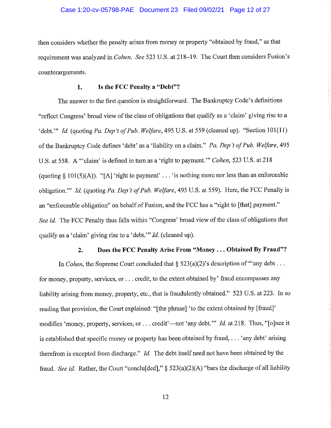## Case 1:20-cv-05798-PAE Document 23 Filed 09/02/21 Page 12 of 27

then considers whether the penalty arises from money or property "obtained by fraud," as that requirement was analyzed in *Cohen. See* 523 U.S. at 218–19. The Court then considers Fusion's counterarguments.

#### Is the FCC Penalty a "Debt"? 1.

The answer to the first question is straightforward. The Bankruptcy Code's definitions "reflect Congress' broad view of the class of obligations that qualify as a 'claim' giving rise to a 'debt.'" Id. (quoting Pa. Dep't of Pub. Welfare, 495 U.S. at 559 (cleaned up). "Section 101(11) of the Bankruptcy Code defines 'debt' as a 'liability on a claim." Pa. Dep't of Pub. Welfare, 495 U.S. at 558. A "claim' is defined in turn as a 'right to payment." Cohen, 523 U.S. at 218 (quoting  $\S 101(5)(A)$ ). "[A] 'right to payment' . . . 'is nothing more nor less than an enforceable obligation." Id. (quoting Pa. Dep't of Pub. Welfare, 495 U.S. at 559). Here, the FCC Penalty is an "enforceable obligation" on behalf of Fusion, and the FCC has a "right to [that] payment." See id. The FCC Penalty thus falls within "Congress' broad view of the class of obligations that qualify as a 'claim' giving rise to a 'debt.'" *Id.* (cleaned up).

#### $2.$ Does the FCC Penalty Arise From "Money... Obtained By Fraud"?

In *Cohen*, the Supreme Court concluded that  $\S$  523(a)(2)'s description of "any debt... for money, property, services, or . . . credit, to the extent obtained by' fraud encompasses any liability arising from money, property, etc., that is fraudulently obtained." 523 U.S. at 223. In so reading that provision, the Court explained: "[the phrase] 'to the extent obtained by [fraud]' modifies 'money, property, services, or ... credit'—not 'any debt.'" *Id.* at 218. Thus, "[o]nce it is established that specific money or property has been obtained by fraud, . . . 'any debt' arising therefrom is excepted from discharge." Id. The debt itself need not have been obtained by the fraud. See id. Rather, the Court "conclused",  $\S$  523(a)(2)(A) "bars the discharge of all liability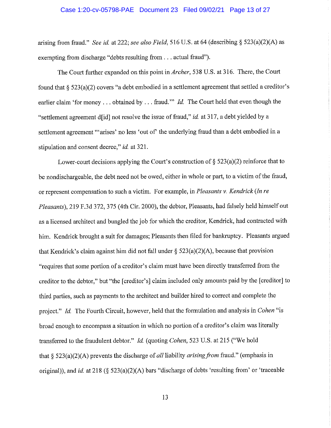# Case 1:20-cv-05798-PAE Document 23 Filed 09/02/21 Page 13 of 27

arising from fraud." See id. at 222; see also Field, 516 U.S. at 64 (describing  $\S$  523(a)(2)(A) as exempting from discharge "debts resulting from . . . actual fraud").

The Court further expanded on this point in Archer, 538 U.S. at 316. There, the Court found that § 523(a)(2) covers "a debt embodied in a settlement agreement that settled a creditor's earlier claim 'for money ... obtained by ... fraud." *Id.* The Court held that even though the "settlement agreement did not resolve the issue of fraud," *id.* at 317, a debt yielded by a settlement agreement "arises' no less 'out of' the underlying fraud than a debt embodied in a stipulation and consent decree," id. at 321.

Lower-court decisions applying the Court's construction of  $\S$  523(a)(2) reinforce that to be nondischargeable, the debt need not be owed, either in whole or part, to a victim of the fraud, or represent compensation to such a victim. For example, in Pleasants v. Kendrick (In re Pleasants), 219 F.3d 372, 375 (4th Cir. 2000), the debtor, Pleasants, had falsely held himself out as a licensed architect and bungled the job for which the creditor, Kendrick, had contracted with him. Kendrick brought a suit for damages; Pleasants then filed for bankruptcy. Pleasants argued that Kendrick's claim against him did not fall under  $\S$  523(a)(2)(A), because that provision "requires that some portion of a creditor's claim must have been directly transferred from the creditor to the debtor," but "the [creditor's] claim included only amounts paid by the [creditor] to third parties, such as payments to the architect and builder hired to correct and complete the project." Id. The Fourth Circuit, however, held that the formulation and analysis in Cohen "is broad enough to encompass a situation in which no portion of a creditor's claim was literally transferred to the fraudulent debtor." *Id.* (quoting *Cohen*, 523 U.S. at 215 ("We hold that § 523(a)(2)(A) prevents the discharge of all liability arising from fraud." (emphasis in original)), and id. at 218 (§  $523(a)(2)(A)$  bars "discharge of debts 'resulting from' or 'traceable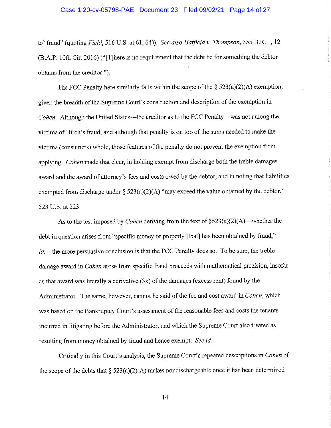# Case 1:20-cv-05798-PAE Document 23 Filed 09/02/21 Page 14 of 27

to' fraud" (quoting Field, 516 U.S. at 61, 64)). See also Hatfield v. Thompson, 555 B.R. 1, 12 (B.A.P. 10th Cir. 2016) ("There is no requirement that the debt be for something the debtor obtains from the creditor.").

The FCC Penalty here similarly falls within the scope of the  $\S$  523(a)(2)(A) exemption, given the breadth of the Supreme Court's construction and description of the exemption in Cohen. Although the United States—the creditor as to the FCC Penalty—was not among the victims of Birch's fraud, and although that penalty is on top of the sums needed to make the victims (consumers) whole, those features of the penalty do not prevent the exemption from applying. Cohen made that clear, in holding exempt from discharge both the treble damages award and the award of attorney's fees and costs owed by the debtor, and in noting that liabilities exempted from discharge under §  $523(a)(2)(A)$  "may exceed the value obtained by the debtor." 523 U.S. at 223.

As to the test imposed by *Cohen* deriving from the text of  $\S523(a)(2)(A)$ —whether the debt in question arises from "specific money or property [that] has been obtained by fraud," id.—the more persuasive conclusion is that the FCC Penalty does so. To be sure, the treble damage award in *Cohen* arose from specific fraud proceeds with mathematical precision, insofar as that award was literally a derivative  $(3x)$  of the damages (excess rent) found by the Administrator. The same, however, cannot be said of the fee and cost award in Cohen, which was based on the Bankruptcy Court's assessment of the reasonable fees and costs the tenants incurred in litigating before the Administrator, and which the Supreme Court also treated as resulting from money obtained by fraud and hence exempt. See id.

Critically in this Court's analysis, the Supreme Court's repeated descriptions in Cohen of the scope of the debts that  $\S$  523(a)(2)(A) makes nondischargeable once it has been determined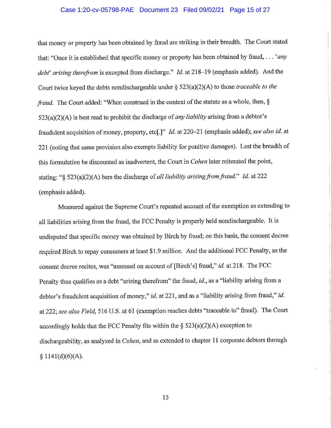## Case 1:20-cv-05798-PAE Document 23 Filed 09/02/21 Page 15 of 27

that money or property has been obtained by fraud are striking in their breadth. The Court stated that: "Once it is established that specific money or property has been obtained by fraud, . . . 'any debt' arising therefrom is excepted from discharge." Id. at 218-19 (emphasis added). And the Court twice keyed the debts nondischargeable under  $\S$  523(a)(2)(A) to those *traceable to the* fraud. The Court added: "When construed in the context of the statute as a whole, then, §  $523(a)(2)(A)$  is best read to prohibit the discharge of *any liability* arising from a debtor's fraudulent acquisition of money, property, etc[.]" Id. at 220-21 (emphasis added); see also id. at 221 (noting that same provision also exempts liability for punitive damages). Lest the breadth of this formulation be discounted as inadvertent, the Court in *Cohen* later reiterated the point, stating: "§ 523(a)(2)(A) bars the discharge of all liability arising from fraud." Id. at 222 (emphasis added).

Measured against the Supreme Court's repeated account of the exemption as extending to all liabilities arising from the fraud, the FCC Penalty is properly held nondischargeable. It is undisputed that specific money was obtained by Birch by fraud; on this basis, the consent decree required Birch to repay consumers at least \$1.9 million. And the additional FCC Penalty, as the consent decree recites, was "assessed on account of [Birch's] fraud," id. at 218. The FCC Penalty thus qualifies as a debt "arising therefrom" the fraud, id., as a "liability arising from a debtor's fraudulent acquisition of money," id. at 221, and as a "liability arising from fraud," id. at 222; see also Field, 516 U.S. at 61 (exemption reaches debts "traceable to" fraud). The Court accordingly holds that the FCC Penalty fits within the  $\S$  523(a)(2)(A) exception to dischargeability, as analyzed in *Cohen*, and as extended to chapter 11 corporate debtors through  $$1141(d)(6)(A).$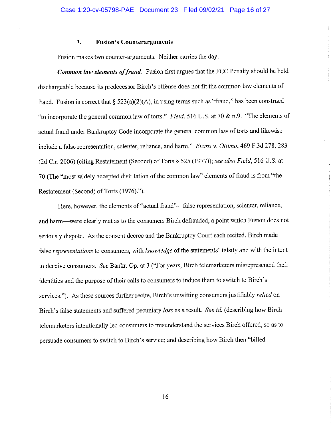#### 3. **Fusion's Counterarguments**

Fusion makes two counter-arguments. Neither carries the day.

Common law elements of fraud: Fusion first argues that the FCC Penalty should be held dischargeable because its predecessor Birch's offense does not fit the common law elements of fraud. Fusion is correct that  $\S$  523(a)(2)(A), in using terms such as "fraud," has been construed "to incorporate the general common law of torts." Field, 516 U.S. at 70 & n.9. "The elements of actual fraud under Bankruptcy Code incorporate the general common law of torts and likewise include a false representation, scienter, reliance, and harm." Evans v. Ottimo, 469 F.3d 278, 283 (2d Cir. 2006) (citing Restatement (Second) of Torts § 525 (1977)); see also Field, 516 U.S. at 70 (The "most widely accepted distillation of the common law" elements of fraud is from "the Restatement (Second) of Torts (1976).").

Here, however, the elements of "actual fraud"—false representation, scienter, reliance, and harm—were clearly met as to the consumers Birch defrauded, a point which Fusion does not seriously dispute. As the consent decree and the Bankruptcy Court each recited, Birch made false representations to consumers, with knowledge of the statements' falsity and with the intent to deceive consumers. See Bankr. Op. at 3 ("For years, Birch telemarketers misrepresented their identities and the purpose of their calls to consumers to induce them to switch to Birch's services."). As these sources further recite, Birch's unwitting consumers justifiably *relied* on Birch's false statements and suffered pecuniary loss as a result. See id. (describing how Birch telemarketers intentionally led consumers to misunderstand the services Birch offered, so as to persuade consumers to switch to Birch's service; and describing how Birch then "billed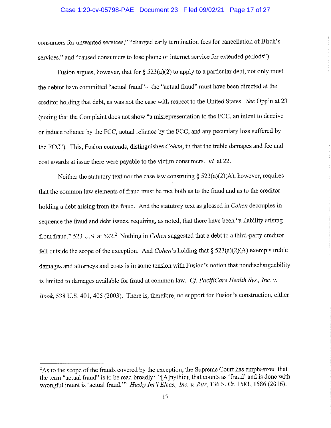## Case 1:20-cv-05798-PAE Document 23 Filed 09/02/21 Page 17 of 27

consumers for unwanted services," "charged early termination fees for cancellation of Birch's services," and "caused consumers to lose phone or internet service for extended periods").

Fusion argues, however, that for  $\S$  523(a)(2) to apply to a particular debt, not only must the debtor have committed "actual fraud"—the "actual fraud" must have been directed at the creditor holding that debt, as was not the case with respect to the United States. See Opp'n at 23 (noting that the Complaint does not show "a misrepresentation to the FCC, an intent to deceive or induce reliance by the FCC, actual reliance by the FCC, and any pecuniary loss suffered by the FCC"). This, Fusion contends, distinguishes *Cohen*, in that the treble damages and fee and cost awards at issue there were payable to the victim consumers. Id. at 22.

Neither the statutory text nor the case law construing  $\S$  523(a)(2)(A), however, requires that the common law elements of fraud must be met both as to the fraud and as to the creditor holding a debt arising from the fraud. And the statutory text as glossed in Cohen decouples in sequence the fraud and debt issues, requiring, as noted, that there have been "a liability arising from fraud." 523 U.S. at 522.<sup>2</sup> Nothing in *Cohen* suggested that a debt to a third-party creditor fell outside the scope of the exception. And Cohen's holding that  $\S$  523(a)(2)(A) exempts treble damages and attorneys and costs is in some tension with Fusion's notion that nondischargeability is limited to damages available for fraud at common law. Cf. PacifiCare Health Sys., Inc. v. Book, 538 U.S. 401, 405 (2003). There is, therefore, no support for Fusion's construction, either

<sup>&</sup>lt;sup>2</sup>As to the scope of the frauds covered by the exception, the Supreme Court has emphasized that the term "actual fraud" is to be read broadly: "[A]nything that counts as 'fraud' and is done with wrongful intent is 'actual fraud." Husky Int'l Elecs., Inc. v. Ritz, 136 S. Ct. 1581, 1586 (2016).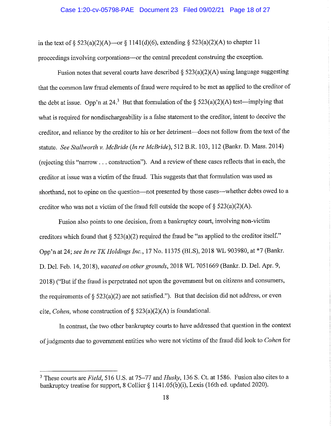### Case 1:20-cv-05798-PAE Document 23 Filed 09/02/21 Page 18 of 27

in the text of  $\delta$  523(a)(2)(A)—or  $\delta$  1141(d)(6), extending  $\delta$  523(a)(2)(A) to chapter 11 proceedings involving corporations—or the central precedent construing the exception.

Fusion notes that several courts have described  $\S$  523(a)(2)(A) using language suggesting that the common law fraud elements of fraud were required to be met as applied to the creditor of the debt at issue. Opp'n at 24.<sup>3</sup> But that formulation of the § 523(a)(2)(A) test—implying that what is required for nondischargeability is a false statement to the creditor, intent to deceive the creditor, and reliance by the creditor to his or her detriment-does not follow from the text of the statute. See Stallworth v. McBride (In re McBride), 512 B.R. 103, 112 (Bankr. D. Mass. 2014) (rejecting this "narrow . . . construction"). And a review of these cases reflects that in each, the creditor at issue was a victim of the fraud. This suggests that that formulation was used as shorthand, not to opine on the question—not presented by those cases—whether debts owed to a creditor who was not a victim of the fraud fell outside the scope of  $\S$  523(a)(2)(A).

Fusion also points to one decision, from a bankruptcy court, involving non-victim creditors which found that  $\S$  523(a)(2) required the fraud be "as applied to the creditor itself." Opp'n at 24; see In re TK Holdings Inc., 17 No. 11375 (BLS), 2018 WL 903980, at \*7 (Bankr. D. Del. Feb. 14, 2018), vacated on other grounds, 2018 WL 7051669 (Bankr. D. Del. Apr. 9, 2018) ("But if the fraud is perpetrated not upon the government but on citizens and consumers, the requirements of  $\S$  523(a)(2) are not satisfied."). But that decision did not address, or even cite, *Cohen*, whose construction of § 523(a)(2)(A) is foundational.

In contrast, the two other bankruptcy courts to have addressed that question in the context of judgments due to government entities who were not victims of the fraud did look to Cohen for

<sup>&</sup>lt;sup>3</sup> These courts are Field, 516 U.S. at 75–77 and Husky, 136 S. Ct. at 1586. Fusion also cites to a bankruptcy treatise for support, 8 Collier  $\S 1141.05(b)(i)$ , Lexis (16th ed. updated 2020).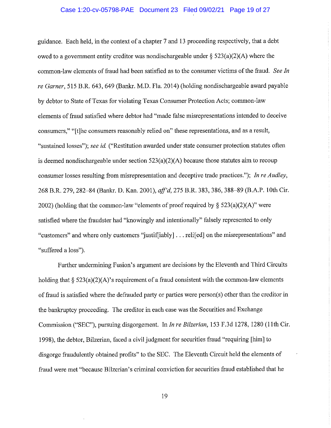## Case 1:20-cv-05798-PAE Document 23 Filed 09/02/21 Page 19 of 27

guidance. Each held, in the context of a chapter 7 and 13 proceeding respectively, that a debt owed to a government entity creditor was nondischargeable under  $\S$  523(a)(2)(A) where the common-law elements of fraud had been satisfied as to the consumer victims of the fraud. See In re Garner, 515 B.R. 643, 649 (Bankr. M.D. Fla. 2014) (holding nondischargeable award payable by debtor to State of Texas for violating Texas Consumer Protection Acts; common-law elements of fraud satisfied where debtor had "made false misrepresentations intended to deceive consumers," "[t]he consumers reasonably relied on" these representations, and as a result, "sustained losses"); see id. ("Restitution awarded under state consumer protection statutes often is deemed nondischargeable under section  $523(a)(2)(A)$  because those statutes aim to recoup consumer losses resulting from misrepresentation and deceptive trade practices."); In re Audley, 268 B.R. 279, 282-84 (Bankr. D. Kan. 2001), aff'd, 275 B.R. 383, 386, 388-89 (B.A.P. 10th Cir. 2002) (holding that the common-law "elements of proof required by  $\S$  523(a)(2)(A)" were satisfied where the fraudster had "knowingly and intentionally" falsely represented to only "customers" and where only customers "justiffiably]... relifed] on the misrepresentations" and "suffered a loss").

Further undermining Fusion's argument are decisions by the Eleventh and Third Circuits holding that  $\S$  523(a)(2)(A)'s requirement of a fraud consistent with the common-law elements of fraud is satisfied where the defrauded party or parties were person(s) other than the creditor in the bankruptcy proceeding. The creditor in each case was the Securities and Exchange Commission ("SEC"), pursuing disgorgement. In In re Bilzerian, 153 F.3d 1278, 1280 (11th Cir. 1998), the debtor, Bilzerian, faced a civil judgment for securities fraud "requiring [him] to disgorge fraudulently obtained profits" to the SEC. The Eleventh Circuit held the elements of fraud were met "because Bilzerian's criminal conviction for securities fraud established that he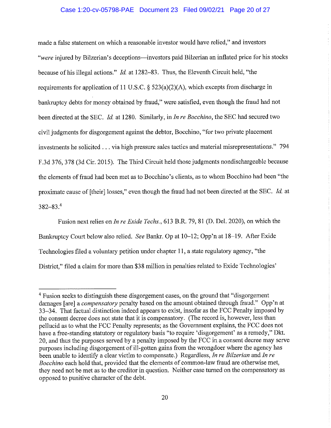## Case 1:20-cv-05798-PAE Document 23 Filed 09/02/21 Page 20 of 27

made a false statement on which a reasonable investor would have relied," and investors "were injured by Bilzerian's deceptions—investors paid Bilzerian an inflated price for his stocks because of his illegal actions." *Id.* at 1282–83. Thus, the Eleventh Circuit held, "the requirements for application of 11 U.S.C. §  $523(a)(2)(A)$ , which excepts from discharge in bankruptcy debts for money obtained by fraud," were satisfied, even though the fraud had not been directed at the SEC. Id. at 1280. Similarly, in In re Bocchino, the SEC had secured two civil judgments for disgorgement against the debtor, Bocchino, "for two private placement investments he solicited . . . via high pressure sales tactics and material misrepresentations." 794 F.3d 376, 378 (3d Cir. 2015). The Third Circuit held those judgments nondischargeable because the elements of fraud had been met as to Bocchino's clients, as to whom Bocchino had been "the proximate cause of [their] losses," even though the fraud had not been directed at the SEC. Id. at  $382 - 83.4$ 

Fusion next relies on *In re Exide Techs.*, 613 B.R. 79, 81 (D. Del. 2020), on which the Bankruptcy Court below also relied. See Bankr. Op at 10–12; Opp'n at 18–19. After Exide Technologies filed a voluntary petition under chapter 11, a state regulatory agency, "the District," filed a claim for more than \$38 million in penalties related to Exide Technologies'

<sup>&</sup>lt;sup>4</sup> Fusion seeks to distinguish these disgorgement cases, on the ground that "disgorgement" damages [are] a *compensatory* penalty based on the amount obtained through fraud." Opp'n at 33–34. That factual distinction indeed appears to exist, insofar as the FCC Penalty imposed by the consent decree does not state that it is compensatory. (The record is, however, less than pellucid as to what the FCC Penalty represents; as the Government explains, the FCC does not have a free-standing statutory or regulatory basis "to require 'disgorgement' as a remedy," Dkt. 20, and thus the purposes served by a penalty imposed by the FCC in a consent decree may serve purposes including disgorgement of ill-gotten gains from the wrongdoer where the agency has been unable to identify a clear victim to compensate.) Regardless, In re Bilzerian and In re Bocchino each hold that, provided that the elements of common-law fraud are otherwise met, they need not be met as to the creditor in question. Neither case turned on the compensatory as opposed to punitive character of the debt.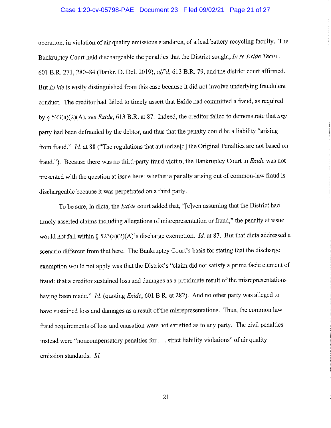## Case 1:20-cv-05798-PAE Document 23 Filed 09/02/21 Page 21 of 27

operation, in violation of air quality emissions standards, of a lead battery recycling facility. The Bankruptcy Court held dischargeable the penalties that the District sought, In re Exide Techs., 601 B.R. 271, 280-84 (Bankr. D. Del. 2019), aff'd, 613 B.R. 79, and the district court affirmed. But *Exide* is easily distinguished from this case because it did not involve underlying fraudulent conduct. The creditor had failed to timely assert that Exide had committed a fraud, as required by § 523(a)(2)(A), see Exide, 613 B.R. at 87. Indeed, the creditor failed to demonstrate that any party had been defrauded by the debtor, and thus that the penalty could be a liability "arising from fraud." *Id.* at 88 ("The regulations that authorize [d] the Original Penalties are not based on fraud."). Because there was no third-party fraud victim, the Bankruptcy Court in Exide was not presented with the question at issue here: whether a penalty arising out of common-law fraud is dischargeable because it was perpetrated on a third party.

To be sure, in dicta, the *Exide* court added that, "[e]ven assuming that the District had timely asserted claims including allegations of misrepresentation or fraud," the penalty at issue would not fall within § 523(a)(2)(A)'s discharge exemption. *Id.* at 87. But that dicta addressed a scenario different from that here. The Bankruptcy Court's basis for stating that the discharge exemption would not apply was that the District's "claim did not satisfy a prima facie element of fraud: that a creditor sustained loss and damages as a proximate result of the misrepresentations having been made." Id. (quoting Exide, 601 B.R. at 282). And no other party was alleged to have sustained loss and damages as a result of the misrepresentations. Thus, the common law fraud requirements of loss and causation were not satisfied as to any party. The civil penalties instead were "noncompensatory penalties for . . . strict liability violations" of air quality emission standards. Id.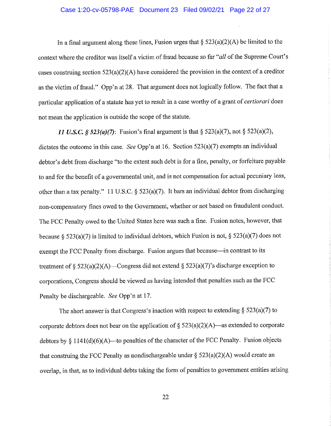## Case 1:20-cv-05798-PAE Document 23 Filed 09/02/21 Page 22 of 27

In a final argument along these lines, Fusion urges that  $\S$  523(a)(2)(A) be limited to the context where the creditor was itself a victim of fraud because so far "all of the Supreme Court's cases construing section  $523(a)(2)(A)$  have considered the provision in the context of a creditor as the victim of fraud." Opp'n at 28. That argument does not logically follow. The fact that a particular application of a statute has yet to result in a case worthy of a grant of *certiorari* does not mean the application is outside the scope of the statute.

11 U.S.C. § 523(a)(7): Fusion's final argument is that § 523(a)(7), not § 523(a)(2), dictates the outcome in this case. See Opp'n at 16. Section  $523(a)(7)$  exempts an individual debtor's debt from discharge "to the extent such debt is for a fine, penalty, or forfeiture payable to and for the benefit of a governmental unit, and is not compensation for actual pecuniary loss, other than a tax penalty." 11 U.S.C. §  $523(a)(7)$ . It bars an individual debtor from discharging non-compensatory fines owed to the Government, whether or not based on fraudulent conduct. The FCC Penalty owed to the United States here was such a fine. Fusion notes, however, that because § 523(a)(7) is limited to individual debtors, which Fusion is not, § 523(a)(7) does not exempt the FCC Penalty from discharge. Fusion argues that because—in contrast to its treatment of § 523(a)(2)(A)—Congress did not extend § 523(a)(7)'s discharge exception to corporations, Congress should be viewed as having intended that penalties such as the FCC Penalty be dischargeable. See Opp'n at 17.

The short answer is that Congress's inaction with respect to extending  $\S$  523(a)(7) to corporate debtors does not bear on the application of  $\S$  523(a)(2)(A)—as extended to corporate debtors by  $\S 1141(d)(6)(A)$  to penalties of the character of the FCC Penalty. Fusion objects that construing the FCC Penalty as nondischargeable under  $\S$  523(a)(2)(A) would create an overlap, in that, as to individual debts taking the form of penalties to government entities arising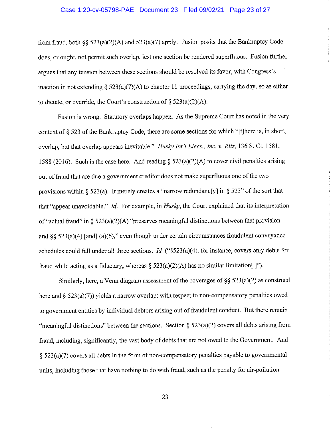### Case 1:20-cv-05798-PAE Document 23 Filed 09/02/21 Page 23 of 27

from fraud, both §§ 523(a)(2)(A) and 523(a)(7) apply. Fusion posits that the Bankruptcy Code does, or ought, not permit such overlap, lest one section be rendered superfluous. Fusion further argues that any tension between these sections should be resolved its favor, with Congress's inaction in not extending  $\S$  523(a)(7)(A) to chapter 11 proceedings, carrying the day, so as either to dictate, or override, the Court's construction of  $\S$  523(a)(2)(A).

Fusion is wrong. Statutory overlaps happen. As the Supreme Court has noted in the very context of § 523 of the Bankruptcy Code, there are some sections for which "[t]here is, in short, overlap, but that overlap appears inevitable." *Husky Int'l Elecs., Inc. v. Ritz*, 136 S. Ct. 1581, 1588 (2016). Such is the case here. And reading  $\S$  523(a)(2)(A) to cover civil penalties arising out of fraud that are due a government creditor does not make superfluous one of the two provisions within  $\S$  523(a). It merely creates a "narrow redundanc[y] in  $\S$  523" of the sort that that "appear unavoidable." Id. For example, in Husky, the Court explained that its interpretation of "actual fraud" in § 523(a)(2)(A) "preserves meaningful distinctions between that provision and §§ 523(a)(4) [and] (a)(6)," even though under certain circumstances fraudulent conveyance schedules could fall under all three sections. *Id.* (" $\S$ 523(a)(4), for instance, covers only debts for fraud while acting as a fiduciary, whereas  $\S$  523(a)(2)(A) has no similar limitation. [1].

Similarly, here, a Venn diagram assessment of the coverages of  $\S$   $\S$   $523(a)(2)$  as construed here and  $\S$  523(a)(7)) yields a narrow overlap: with respect to non-compensatory penalties owed to government entities by individual debtors arising out of fraudulent conduct. But there remain "meaningful distinctions" between the sections. Section  $\S$  523(a)(2) covers all debts arising from fraud, including, significantly, the vast body of debts that are not owed to the Government. And  $\S$  523(a)(7) covers all debts in the form of non-compensatory penalties payable to governmental units, including those that have nothing to do with fraud, such as the penalty for air-pollution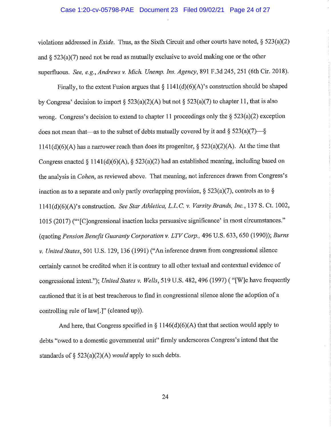# Case 1:20-cv-05798-PAE Document 23 Filed 09/02/21 Page 24 of 27

violations addressed in *Exide*. Thus, as the Sixth Circuit and other courts have noted,  $\S$  523(a)(2) and  $\delta$  523(a)(7) need not be read as mutually exclusive to avoid making one or the other superfluous. See, e.g., Andrews v. Mich. Unemp. Ins. Agency, 891 F.3d 245, 251 (6th Cir. 2018).

Finally, to the extent Fusion argues that  $\S 1141(d)(6)(A)$ 's construction should be shaped by Congress' decision to import § 523(a)(2)(A) but not § 523(a)(7) to chapter 11, that is also wrong. Congress's decision to extend to chapter 11 proceedings only the  $\S$  523(a)(2) exception does not mean that—as to the subset of debts mutually covered by it and  $\S$  523(a)(7)— $\S$  $1141(d)(6)(A)$  has a narrower reach than does its progenitor, § 523(a)(2)(A). At the time that Congress enacted § 1141(d)(6)(A), § 523(a)(2) had an established meaning, including based on the analysis in Cohen, as reviewed above. That meaning, not inferences drawn from Congress's inaction as to a separate and only partly overlapping provision, § 523(a)(7), controls as to § 1141(d)(6)(A)'s construction. See Star Athletica, L.L.C. v. Varsity Brands, Inc., 137 S. Ct. 1002, 1015 (2017) ("'[C]ongressional inaction lacks persuasive significance' in most circumstances." (quoting Pension Benefit Guaranty Corporation v. LTV Corp., 496 U.S. 633, 650 (1990)); Burns v. United States, 501 U.S. 129, 136 (1991) ("An inference drawn from congressional silence certainly cannot be credited when it is contrary to all other textual and contextual evidence of congressional intent."); United States v. Wells, 519 U.S. 482, 496 (1997) ("[W]e have frequently cautioned that it is at best treacherous to find in congressional silence alone the adoption of a controlling rule of law[.]" (cleaned up)).

And here, that Congress specified in  $\S 1146(d)(6)(A)$  that that section would apply to debts "owed to a domestic governmental unit" firmly underscores Congress's intend that the standards of §  $523(a)(2)(A)$  would apply to such debts.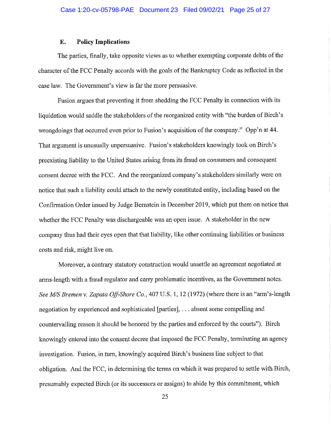#### E. **Policy Implications**

The parties, finally, take opposite views as to whether exempting corporate debts of the character of the FCC Penalty accords with the goals of the Bankruptcy Code as reflected in the case law. The Government's view is far the more persuasive.

Fusion argues that preventing it from shedding the FCC Penalty in connection with its liquidation would saddle the stakeholders of the reorganized entity with "the burden of Birch's wrongdoings that occurred even prior to Fusion's acquisition of the company." Opp'n at 44. That argument is unusually unpersuasive. Fusion's stakeholders knowingly took on Birch's preexisting liability to the United States arising from its fraud on consumers and consequent consent decree with the FCC. And the reorganized company's stakeholders similarly were on notice that such a liability could attach to the newly constituted entity, including based on the Confirmation Order issued by Judge Bernstein in December 2019, which put them on notice that whether the FCC Penalty was dischargeable was an open issue. A stakeholder in the new company thus had their eyes open that that liability, like other continuing liabilities or business costs and risk, might live on.

Moreover, a contrary statutory construction would unsettle an agreement negotiated at arms-length with a fraud regulator and carry problematic incentives, as the Government notes. See M/S Bremen v. Zapata Off-Shore Co., 407 U.S. 1, 12 (1972) (where there is an "arm's-length negotiation by experienced and sophisticated [parties], ... absent some compelling and countervailing reason it should be honored by the parties and enforced by the courts"). Birch knowingly entered into the consent decree that imposed the FCC Penalty, terminating an agency investigation. Fusion, in turn, knowingly acquired Birch's business line subject to that obligation. And the FCC, in determining the terms on which it was prepared to settle with Birch, presumably expected Birch (or its successors or assigns) to abide by this commitment, which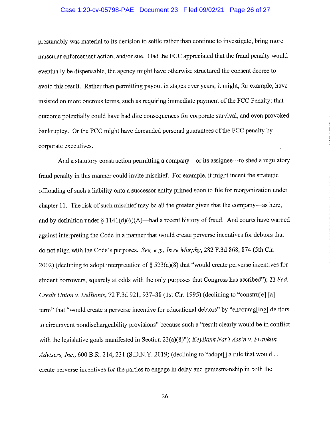## Case 1:20-cv-05798-PAE Document 23 Filed 09/02/21 Page 26 of 27

presumably was material to its decision to settle rather than continue to investigate, bring more muscular enforcement action, and/or sue. Had the FCC appreciated that the fraud penalty would eventually be dispensable, the agency might have otherwise structured the consent decree to avoid this result. Rather than permitting payout in stages over years, it might, for example, have insisted on more onerous terms, such as requiring immediate payment of the FCC Penalty; that outcome potentially could have had dire consequences for corporate survival, and even provoked bankruptcy. Or the FCC might have demanded personal guarantees of the FCC penalty by corporate executives.

And a statutory construction permitting a company-or its assignee-to shed a regulatory fraud penalty in this manner could invite mischief. For example, it might incent the strategic offloading of such a liability onto a successor entity primed soon to file for reorganization under chapter 11. The risk of such mischief may be all the greater given that the company—as here, and by definition under  $\S 1141(d)(6)(A)$ —had a recent history of fraud. And courts have warned against interpreting the Code in a manner that would create perverse incentives for debtors that do not align with the Code's purposes. See, e.g., In re Murphy, 282 F.3d 868, 874 (5th Cir. 2002) (declining to adopt interpretation of  $\S$  523(a)(8) that "would create perverse incentives for student borrowers, squarely at odds with the only purposes that Congress has ascribed"); TI Fed. Credit Union v. DelBonis, 72 F.3d 921, 937–38 (1st Cir. 1995) (declining to "constru[e] [a] term" that "would create a perverse incentive for educational debtors" by "encourag[ing] debtors to circumvent nondischargeability provisions" because such a "result clearly would be in conflict with the legislative goals manifested in Section 23(a)(8)"); KeyBank Nat'l Ass'n v. Franklin *Advisers, Inc.*, 600 B.R. 214, 231 (S.D.N.Y. 2019) (declining to "adopt[] a rule that would ... create perverse incentives for the parties to engage in delay and games manship in both the